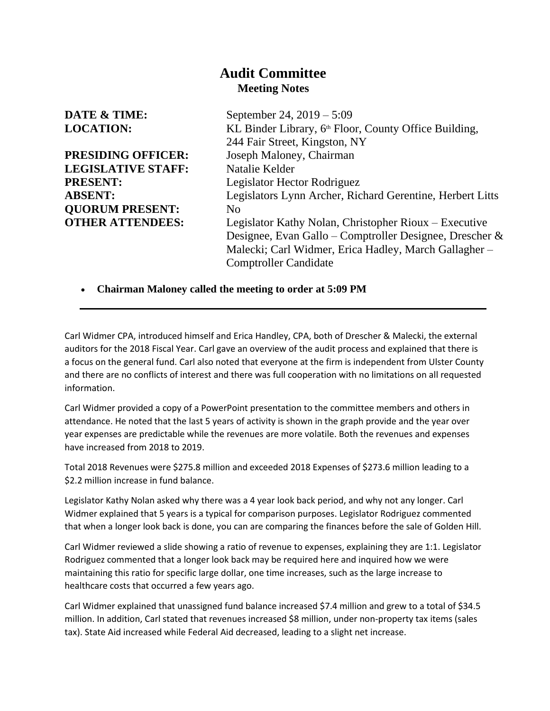## **Audit Committee Meeting Notes**

| <b>DATE &amp; TIME:</b>   | September 24, 2019 – 5:09                                         |
|---------------------------|-------------------------------------------------------------------|
| <b>LOCATION:</b>          | KL Binder Library, 6 <sup>th</sup> Floor, County Office Building, |
|                           | 244 Fair Street, Kingston, NY                                     |
| PRESIDING OFFICER:        | Joseph Maloney, Chairman                                          |
| <b>LEGISLATIVE STAFF:</b> | Natalie Kelder                                                    |
| <b>PRESENT:</b>           | Legislator Hector Rodriguez                                       |
| <b>ABSENT:</b>            | Legislators Lynn Archer, Richard Gerentine, Herbert Litts         |
| <b>OUORUM PRESENT:</b>    | N <sub>0</sub>                                                    |
| <b>OTHER ATTENDEES:</b>   | Legislator Kathy Nolan, Christopher Rioux – Executive             |
|                           | Designee, Evan Gallo – Comptroller Designee, Drescher &           |
|                           | Malecki; Carl Widmer, Erica Hadley, March Gallagher -             |
|                           | <b>Comptroller Candidate</b>                                      |
|                           |                                                                   |
|                           |                                                                   |

• **Chairman Maloney called the meeting to order at 5:09 PM**

Carl Widmer CPA, introduced himself and Erica Handley, CPA, both of Drescher & Malecki, the external auditors for the 2018 Fiscal Year. Carl gave an overview of the audit process and explained that there is a focus on the general fund. Carl also noted that everyone at the firm is independent from Ulster County and there are no conflicts of interest and there was full cooperation with no limitations on all requested information.

Carl Widmer provided a copy of a PowerPoint presentation to the committee members and others in attendance. He noted that the last 5 years of activity is shown in the graph provide and the year over year expenses are predictable while the revenues are more volatile. Both the revenues and expenses have increased from 2018 to 2019.

Total 2018 Revenues were \$275.8 million and exceeded 2018 Expenses of \$273.6 million leading to a \$2.2 million increase in fund balance.

Legislator Kathy Nolan asked why there was a 4 year look back period, and why not any longer. Carl Widmer explained that 5 years is a typical for comparison purposes. Legislator Rodriguez commented that when a longer look back is done, you can are comparing the finances before the sale of Golden Hill.

Carl Widmer reviewed a slide showing a ratio of revenue to expenses, explaining they are 1:1. Legislator Rodriguez commented that a longer look back may be required here and inquired how we were maintaining this ratio for specific large dollar, one time increases, such as the large increase to healthcare costs that occurred a few years ago.

Carl Widmer explained that unassigned fund balance increased \$7.4 million and grew to a total of \$34.5 million. In addition, Carl stated that revenues increased \$8 million, under non-property tax items (sales tax). State Aid increased while Federal Aid decreased, leading to a slight net increase.